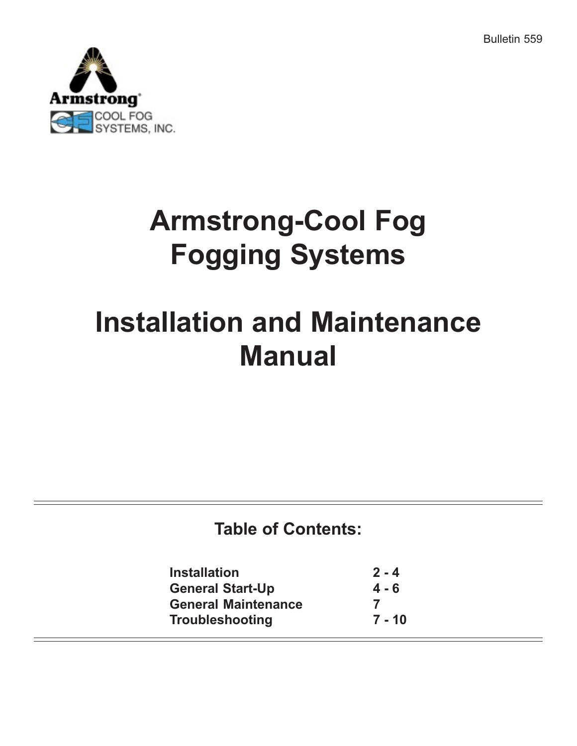Bulletin 559



## Armstrong-Cool Fog Fogging Systems

# Installation and Maintenance Manual

## Table of Contents:

| $2 - 4$ |
|---------|
| $4 - 6$ |
|         |
| 7 - 10  |
|         |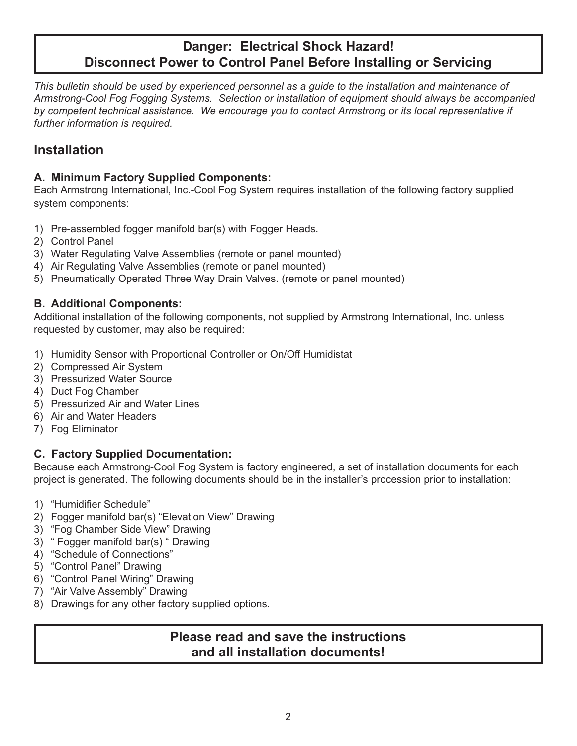## Danger: Electrical Shock Hazard! Disconnect Power to Control Panel Before Installing or Servicing

This bulletin should be used by experienced personnel as a guide to the installation and maintenance of Armstrong-Cool Fog Fogging Systems. Selection or installation of equipment should always be accompanied by competent technical assistance. We encourage you to contact Armstrong or its local representative if further information is required.

### Installation

#### A. Minimum Factory Supplied Components:

Each Armstrong International, Inc.-Cool Fog System requires installation of the following factory supplied system components:

- 1) Pre-assembled fogger manifold bar(s) with Fogger Heads.
- 2) Control Panel
- 3) Water Regulating Valve Assemblies (remote or panel mounted)
- 4) Air Regulating Valve Assemblies (remote or panel mounted)
- 5) Pneumatically Operated Three Way Drain Valves. (remote or panel mounted)

#### B. Additional Components:

Additional installation of the following components, not supplied by Armstrong International, Inc. unless requested by customer, may also be required:

- 1) Humidity Sensor with Proportional Controller or On/Off Humidistat
- 2) Compressed Air System
- 3) Pressurized Water Source
- 4) Duct Fog Chamber
- 5) Pressurized Air and Water Lines
- 6) Air and Water Headers
- 7) Fog Eliminator

#### C. Factory Supplied Documentation:

Because each Armstrong-Cool Fog System is factory engineered, a set of installation documents for each project is generated. The following documents should be in the installer's procession prior to installation:

- 1) "Humidifier Schedule"
- 2) Fogger manifold bar(s) "Elevation View" Drawing
- 3) "Fog Chamber Side View" Drawing
- 3) "Fogger manifold bar(s) "Drawing
- 4) "Schedule of Connections"
- 5) "Control Panel" Drawing
- 6) "Control Panel Wiring" Drawing
- 7) "Air Valve Assembly" Drawing
- 8) Drawings for any other factory supplied options.

#### Please read and save the instructions and all installation documents!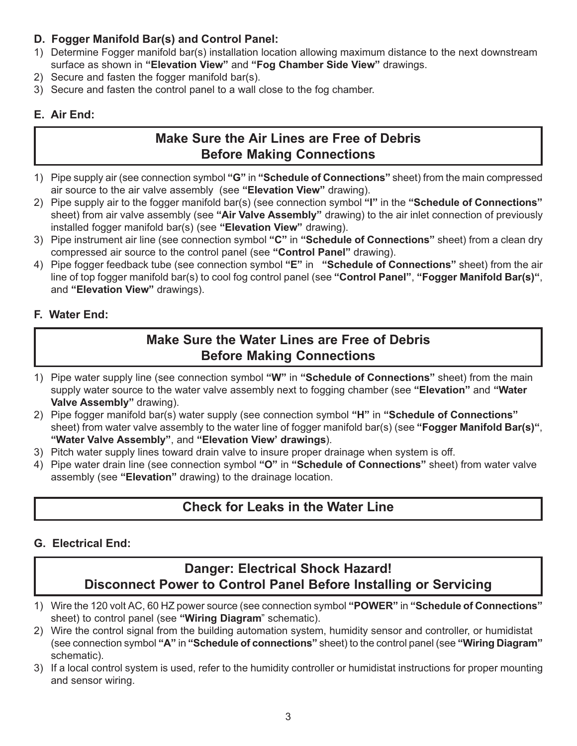#### D. Fogger Manifold Bar(s) and Control Panel:

- 1) Determine Fogger manifold bar(s) installation location allowing maximum distance to the next downstream surface as shown in "Elevation View" and "Fog Chamber Side View" drawings.
- 2) Secure and fasten the fogger manifold bar(s).
- 3) Secure and fasten the control panel to a wall close to the fog chamber.

#### E. Air End:

## Make Sure the Air Lines are Free of Debris Before Making Connections

- 1) Pipe supply air (see connection symbol "G" in "Schedule of Connections" sheet) from the main compressed air source to the air valve assembly (see "Elevation View" drawing).
- 2) Pipe supply air to the fogger manifold bar(s) (see connection symbol "I" in the "Schedule of Connections" sheet) from air valve assembly (see "Air Valve Assembly" drawing) to the air inlet connection of previously installed fogger manifold bar(s) (see "Elevation View" drawing).
- 3) Pipe instrument air line (see connection symbol "C" in "Schedule of Connections" sheet) from a clean dry compressed air source to the control panel (see "Control Panel" drawing).
- 4) Pipe fogger feedback tube (see connection symbol "E" in "Schedule of Connections" sheet) from the air line of top fogger manifold bar(s) to cool fog control panel (see "Control Panel", "Fogger Manifold Bar(s)", and "Elevation View" drawings).

#### F. Water End:

## Make Sure the Water Lines are Free of Debris Before Making Connections

- 1) Pipe water supply line (see connection symbol "W" in "Schedule of Connections" sheet) from the main supply water source to the water valve assembly next to fogging chamber (see "Elevation" and "Water Valve Assembly" drawing).
- 2) Pipe fogger manifold bar(s) water supply (see connection symbol "H" in "Schedule of Connections" sheet) from water valve assembly to the water line of fogger manifold bar(s) (see "**Fogger Manifold Bar(s)**", "Water Valve Assembly", and "Elevation View' drawings).
- 3) Pitch water supply lines toward drain valve to insure proper drainage when system is off.
- 4) Pipe water drain line (see connection symbol "O" in "Schedule of Connections" sheet) from water valve assembly (see "Elevation" drawing) to the drainage location.

## Check for Leaks in the Water Line

### G. Electrical End:

## Danger: Electrical Shock Hazard! Disconnect Power to Control Panel Before Installing or Servicing

- 1) Wire the 120 volt AC, 60 HZ power source (see connection symbol "POWER" in "Schedule of Connections" sheet) to control panel (see "Wiring Diagram" schematic).
- 2) Wire the control signal from the building automation system, humidity sensor and controller, or humidistat (see connection symbol "A" in "Schedule of connections" sheet) to the control panel (see "Wiring Diagram" schematic).
- 3) If a local control system is used, refer to the humidity controller or humidistat instructions for proper mounting and sensor wiring.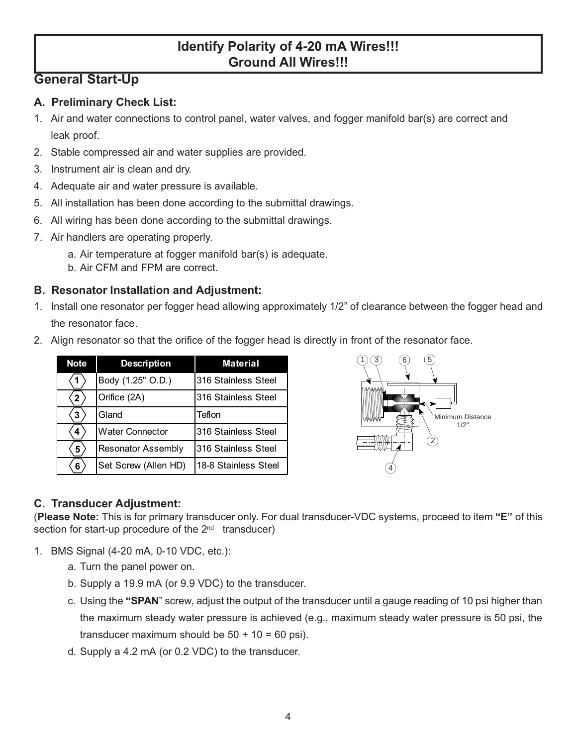## Identify Polarity of 4-20 mA Wires!!! Ground All Wires!!!

## General Start-Up

#### A. Preliminary Check List:

- 1. Air and water connections to control panel, water valves, and fogger manifold bar(s) are correct and leak proof.
- 2. Stable compressed air and water supplies are provided.
- 3. Instrument air is clean and dry.
- 4. Adequate air and water pressure is available.
- 5. All installation has been done according to the submittal drawings.
- 6. All wiring has been done according to the submittal drawings.
- 7. Air handlers are operating properly.
	- a. Air temperature at fogger manifold bar(s) is adequate.
	- b. Air CFM and FPM are correct.

#### B. Resonator Installation and Adjustment:

- 1. Install one resonator per fogger head allowing approximately 1/2" of clearance between the fogger head and the resonator face.
- 2. Align resonator so that the orifice of the fogger head is directly in front of the resonator face.

| <b>Note</b>  | <b>Description</b>        | <b>Material</b>      |
|--------------|---------------------------|----------------------|
|              | Body (1.25" O.D.)         | 316 Stainless Steel  |
| $\mathbf{2}$ | Orifice (2A)              | 316 Stainless Steel  |
| 3            | Gland                     | Teflon               |
| 4            | <b>Water Connector</b>    | 316 Stainless Steel  |
| 5            | <b>Resonator Assembly</b> | 316 Stainless Steel  |
| 6            | Set Screw (Allen HD)      | 18-8 Stainless Steel |



#### C. Transducer Adjustment:

(Please Note: This is for primary transducer only. For dual transducer-VDC systems, proceed to item "E" of this section for start-up procedure of the  $2^{nd}$  transducer)

- 1. BMS Signal (4-20 mA, 0-10 VDC, etc.):
	- a. Turn the panel power on.
	- b. Supply a 19.9 mA (or 9.9 VDC) to the transducer.
	- c. Using the "SPAN" screw, adjust the output of the transducer until a gauge reading of 10 psi higher than the maximum steady water pressure is achieved (e.g., maximum steady water pressure is 50 psi, the transducer maximum should be  $50 + 10 = 60$  psi).
	- d. Supply a 4.2 mA (or 0.2 VDC) to the transducer.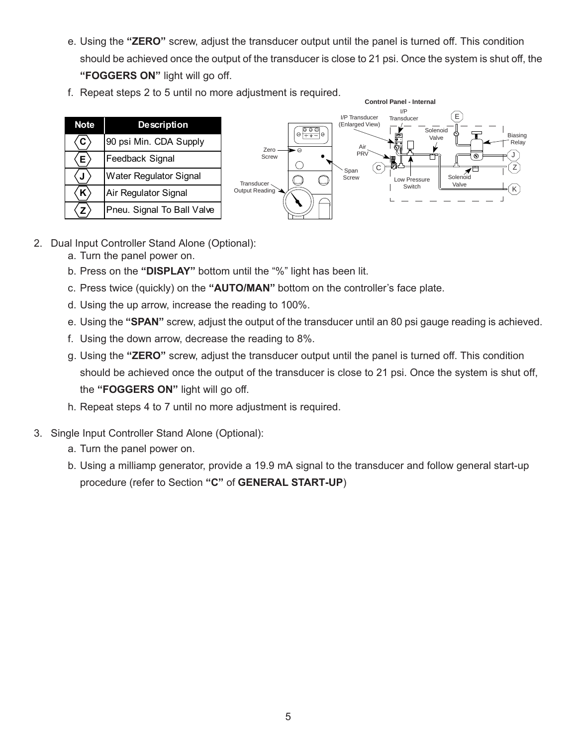- e. Using the "ZERO" screw, adjust the transducer output until the panel is turned off. This condition should be achieved once the output of the transducer is close to 21 psi. Once the system is shut off, the "FOGGERS ON" light will go off.
- f. Repeat steps 2 to 5 until no more adjustment is required.



- 2. Dual Input Controller Stand Alone (Optional):
	- a. Turn the panel power on.
	- b. Press on the "DISPLAY" bottom until the "%" light has been lit.
	- c. Press twice (quickly) on the "AUTO/MAN" bottom on the controller's face plate.
	- d. Using the up arrow, increase the reading to 100%.
	- e. Using the "SPAN" screw, adjust the output of the transducer until an 80 psi gauge reading is achieved.
	- f. Using the down arrow, decrease the reading to 8%.
	- g. Using the "ZERO" screw, adjust the transducer output until the panel is turned off. This condition should be achieved once the output of the transducer is close to 21 psi. Once the system is shut off, the "FOGGERS ON" light will go off.
	- h. Repeat steps 4 to 7 until no more adjustment is required.
- 3. Single Input Controller Stand Alone (Optional):
	- a. Turn the panel power on.
	- b. Using a milliamp generator, provide a 19.9 mA signal to the transducer and follow general start-up procedure (refer to Section "C" of GENERAL START-UP)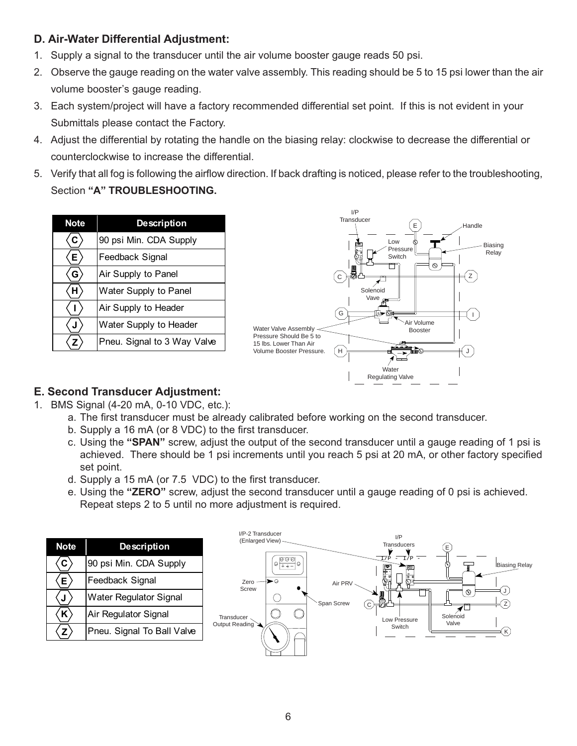#### D. Air-Water Differential Adjustment:

- 1. Supply a signal to the transducer until the air volume booster gauge reads 50 psi.
- 2. Observe the gauge reading on the water valve assembly. This reading should be 5 to 15 psi lower than the air volume booster's gauge reading.
- 3. Each system/project will have a factory recommended differential set point. If this is not evident in your Submittals please contact the Factory.
- 4. Adjust the differential by rotating the handle on the biasing relay: clockwise to decrease the differential or counterclockwise to increase the differential.
- 5. Verify that all fog is following the airflow direction. If back drafting is noticed, please refer to the troubleshooting, Section "A" TROUBLESHOOTING.

| <b>Note</b> | <b>Description</b>          |  |
|-------------|-----------------------------|--|
| C.          | 90 psi Min. CDA Supply      |  |
| E.          | Feedback Signal             |  |
| G           | Air Supply to Panel         |  |
| н           | Water Supply to Panel       |  |
|             | Air Supply to Header        |  |
|             | Water Supply to Header      |  |
|             | Pneu. Signal to 3 Way Valve |  |



#### E. Second Transducer Adjustment:

- 1. BMS Signal (4-20 mA, 0-10 VDC, etc.):
	- a. The first transducer must be already calibrated before working on the second transducer.
	- b. Supply a 16 mA (or 8 VDC) to the first transducer.
	- c. Using the "SPAN" screw, adjust the output of the second transducer until a gauge reading of 1 psi is achieved. There should be 1 psi increments until you reach 5 psi at 20 mA, or other factory specified set point.
	- d. Supply a 15 mA (or 7.5 VDC) to the first transducer.
	- e. Using the "ZERO" screw, adjust the second transducer until a gauge reading of 0 psi is achieved. Repeat steps 2 to 5 until no more adjustment is required.

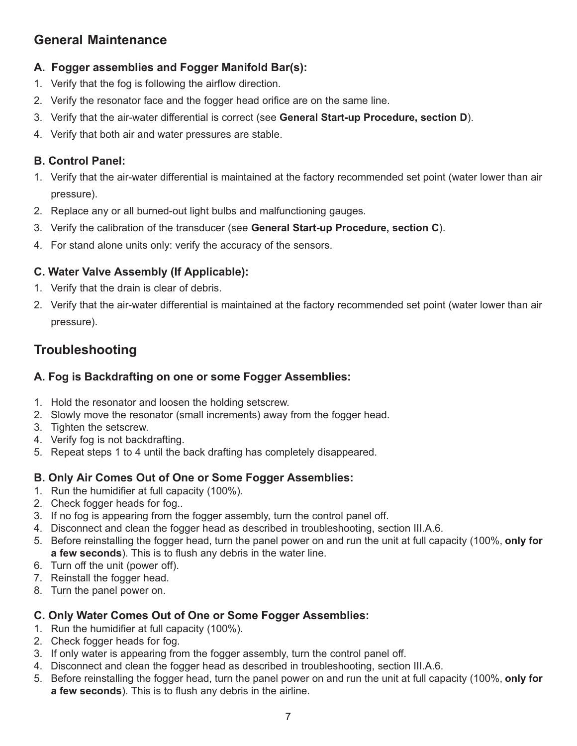## General Maintenance

#### A. Fogger assemblies and Fogger Manifold Bar(s):

- 1. Verify that the fog is following the airflow direction.
- 2. Verify the resonator face and the fogger head orifice are on the same line.
- 3. Verify that the air-water differential is correct (see General Start-up Procedure, section D).
- 4. Verify that both air and water pressures are stable.

#### B. Control Panel:

- 1. Verify that the air-water differential is maintained at the factory recommended set point (water lower than air pressure).
- 2. Replace any or all burned-out light bulbs and malfunctioning gauges.
- 3. Verify the calibration of the transducer (see General Start-up Procedure, section C).
- 4. For stand alone units only: verify the accuracy of the sensors.

#### C. Water Valve Assembly (If Applicable):

- 1. Verify that the drain is clear of debris.
- 2. Verify that the air-water differential is maintained at the factory recommended set point (water lower than air pressure).

## Troubleshooting

#### A. Fog is Backdrafting on one or some Fogger Assemblies:

- 1. Hold the resonator and loosen the holding setscrew.
- 2. Slowly move the resonator (small increments) away from the fogger head.
- 3. Tighten the setscrew.
- 4. Verify fog is not backdrafting.
- 5. Repeat steps 1 to 4 until the back drafting has completely disappeared.

#### B. Only Air Comes Out of One or Some Fogger Assemblies:

- 1. Run the humidifier at full capacity (100%).
- 2. Check fogger heads for fog..
- 3. If no fog is appearing from the fogger assembly, turn the control panel off.
- 4. Disconnect and clean the fogger head as described in troubleshooting, section III.A.6.
- 5. Before reinstalling the fogger head, turn the panel power on and run the unit at full capacity (100%, only for a few seconds). This is to flush any debris in the water line.
- 6. Turn off the unit (power off).
- 7. Reinstall the fogger head.
- 8. Turn the panel power on.

#### C. Only Water Comes Out of One or Some Fogger Assemblies:

- 1. Run the humidifier at full capacity (100%).
- 2. Check fogger heads for fog.
- 3. If only water is appearing from the fogger assembly, turn the control panel off.
- 4. Disconnect and clean the fogger head as described in troubleshooting, section III.A.6.
- 5. Before reinstalling the fogger head, turn the panel power on and run the unit at full capacity (100%, only for a few seconds). This is to flush any debris in the airline.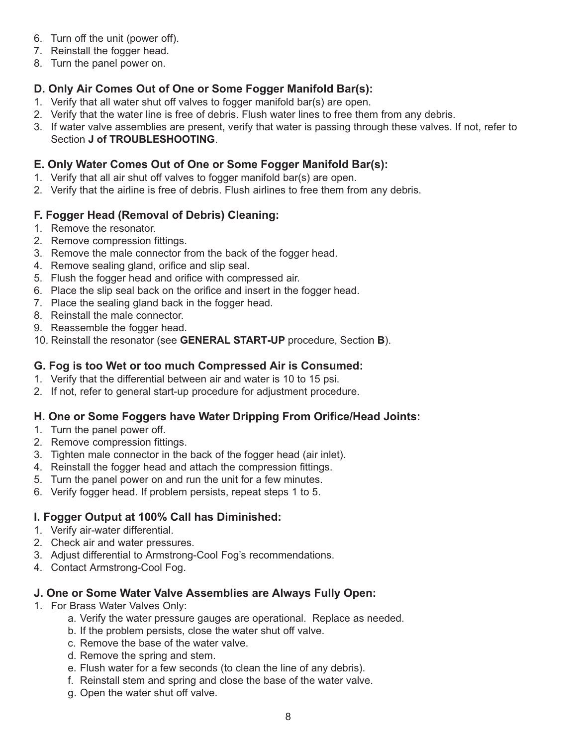- 6. Turn off the unit (power off).
- 7. Reinstall the fogger head.
- 8. Turn the panel power on.

#### D. Only Air Comes Out of One or Some Fogger Manifold Bar(s):

- 1. Verify that all water shut off valves to fogger manifold bar(s) are open.
- 2. Verify that the water line is free of debris. Flush water lines to free them from any debris.
- 3. If water valve assemblies are present, verify that water is passing through these valves. If not, refer to Section J of TROUBLESHOOTING.

#### E. Only Water Comes Out of One or Some Fogger Manifold Bar(s):

- 1. Verify that all air shut off valves to fogger manifold bar(s) are open.
- 2. Verify that the airline is free of debris. Flush airlines to free them from any debris.

#### F. Fogger Head (Removal of Debris) Cleaning:

- 1. Remove the resonator.
- 2. Remove compression fittings.
- 3. Remove the male connector from the back of the fogger head.
- 4. Remove sealing gland, orifice and slip seal.
- 5. Flush the fogger head and orifice with compressed air.
- 6. Place the slip seal back on the orifice and insert in the fogger head.
- 7. Place the sealing gland back in the fogger head.
- 8. Reinstall the male connector.
- 9. Reassemble the fogger head.
- 10. Reinstall the resonator (see GENERAL START-UP procedure, Section B).

#### G. Fog is too Wet or too much Compressed Air is Consumed:

- 1. Verify that the differential between air and water is 10 to 15 psi.
- 2. If not, refer to general start-up procedure for adjustment procedure.

#### H. One or Some Foggers have Water Dripping From Orifice/Head Joints:

- 1. Turn the panel power off.
- 2. Remove compression fittings.
- 3. Tighten male connector in the back of the fogger head (air inlet).
- 4. Reinstall the fogger head and attach the compression fittings.
- 5. Turn the panel power on and run the unit for a few minutes.
- 6. Verify fogger head. If problem persists, repeat steps 1 to 5.

#### I. Fogger Output at 100% Call has Diminished:

- 1. Verify air-water differential.
- 2. Check air and water pressures.
- 3. Adjust differential to Armstrong-Cool Fog's recommendations.
- 4. Contact Armstrong-Cool Fog.

#### J. One or Some Water Valve Assemblies are Always Fully Open:

- 1. For Brass Water Valves Only:
	- a. Verify the water pressure gauges are operational. Replace as needed.
	- b. If the problem persists, close the water shut off valve.
	- c. Remove the base of the water valve.
	- d. Remove the spring and stem.
	- e. Flush water for a few seconds (to clean the line of any debris).
	- f. Reinstall stem and spring and close the base of the water valve.
	- g. Open the water shut off valve.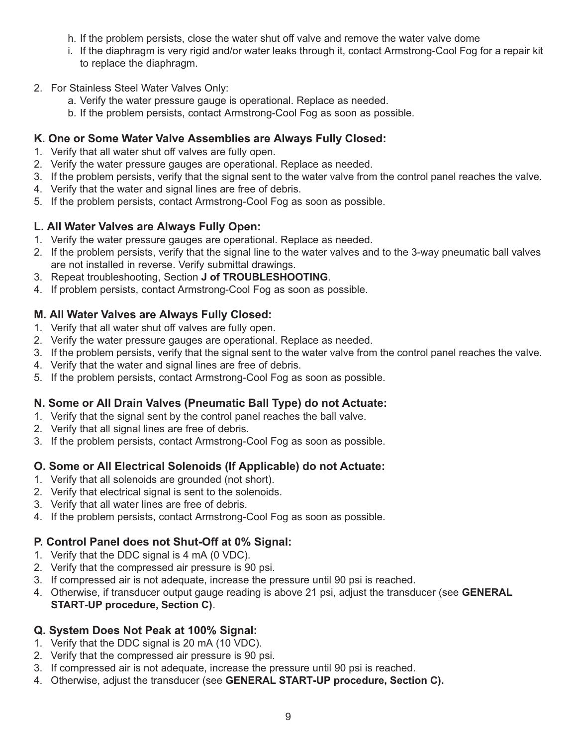- h. If the problem persists, close the water shut off valve and remove the water valve dome
- i. If the diaphragm is very rigid and/or water leaks through it, contact Armstrong-Cool Fog for a repair kit to replace the diaphragm.
- 2. For Stainless Steel Water Valves Only:
	- a. Verify the water pressure gauge is operational. Replace as needed.
	- b. If the problem persists, contact Armstrong-Cool Fog as soon as possible.

#### K. One or Some Water Valve Assemblies are Always Fully Closed:

- 1. Verify that all water shut off valves are fully open.
- 2. Verify the water pressure gauges are operational. Replace as needed.
- 3. If the problem persists, verify that the signal sent to the water valve from the control panel reaches the valve.
- 4. Verify that the water and signal lines are free of debris.
- 5. If the problem persists, contact Armstrong-Cool Fog as soon as possible.

#### L. All Water Valves are Always Fully Open:

- 1. Verify the water pressure gauges are operational. Replace as needed.
- 2. If the problem persists, verify that the signal line to the water valves and to the 3-way pneumatic ball valves are not installed in reverse. Verify submittal drawings.
- 3. Repeat troubleshooting, Section J of TROUBLESHOOTING.
- 4. If problem persists, contact Armstrong-Cool Fog as soon as possible.

#### M. All Water Valves are Always Fully Closed:

- 1. Verify that all water shut off valves are fully open.
- 2. Verify the water pressure gauges are operational. Replace as needed.
- 3. If the problem persists, verify that the signal sent to the water valve from the control panel reaches the valve.
- 4. Verify that the water and signal lines are free of debris.
- 5. If the problem persists, contact Armstrong-Cool Fog as soon as possible.

#### N. Some or All Drain Valves (Pneumatic Ball Type) do not Actuate:

- 1. Verify that the signal sent by the control panel reaches the ball valve.
- 2. Verify that all signal lines are free of debris.
- 3. If the problem persists, contact Armstrong-Cool Fog as soon as possible.

#### O. Some or All Electrical Solenoids (If Applicable) do not Actuate:

- 1. Verify that all solenoids are grounded (not short).
- 2. Verify that electrical signal is sent to the solenoids.
- 3. Verify that all water lines are free of debris.
- 4. If the problem persists, contact Armstrong-Cool Fog as soon as possible.

#### P. Control Panel does not Shut-Off at 0% Signal:

- 1. Verify that the DDC signal is 4 mA (0 VDC).
- 2. Verify that the compressed air pressure is 90 psi.
- 3. If compressed air is not adequate, increase the pressure until 90 psi is reached.
- 4. Otherwise, if transducer output gauge reading is above 21 psi, adjust the transducer (see **GENERAL** START-UP procedure, Section C).

#### Q. System Does Not Peak at 100% Signal:

- 1. Verify that the DDC signal is 20 mA (10 VDC).
- 2. Verify that the compressed air pressure is 90 psi.
- 3. If compressed air is not adequate, increase the pressure until 90 psi is reached.
- 4. Otherwise, adjust the transducer (see GENERAL START-UP procedure, Section C).